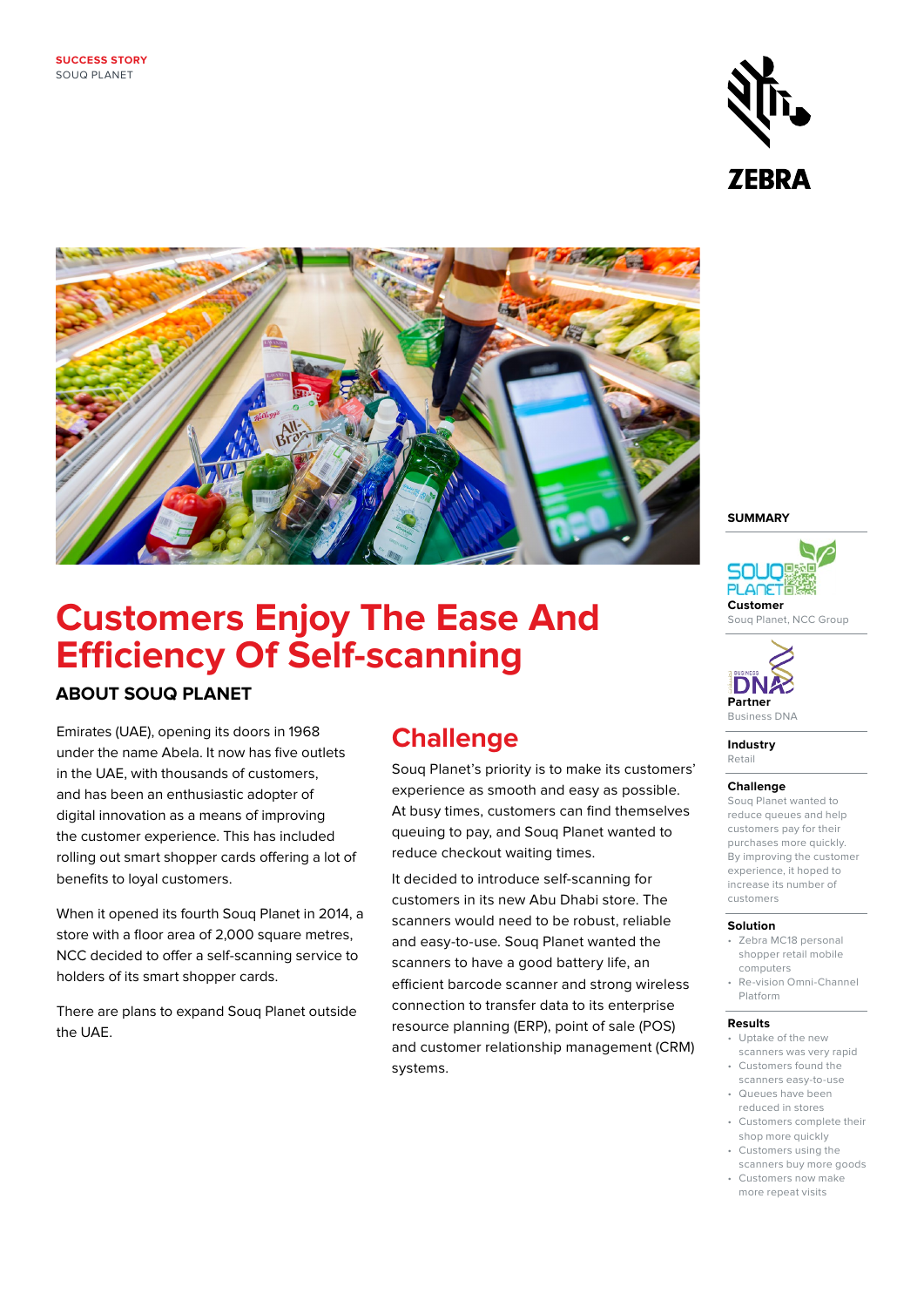



# **Customers Enjoy The Ease And Efficiency Of Self-scanning**

### **ABOUT SOUQ PLANET**

Emirates (UAE), opening its doors in 1968 under the name Abela. It now has five outlets in the UAE, with thousands of customers, and has been an enthusiastic adopter of digital innovation as a means of improving the customer experience. This has included rolling out smart shopper cards offering a lot of benefits to loyal customers.

When it opened its fourth Souq Planet in 2014, a store with a floor area of 2,000 square metres, NCC decided to offer a self-scanning service to holders of its smart shopper cards.

There are plans to expand Souq Planet outside the UAE.

## **Challenge**

Souq Planet's priority is to make its customers' experience as smooth and easy as possible. At busy times, customers can find themselves queuing to pay, and Souq Planet wanted to reduce checkout waiting times.

It decided to introduce self-scanning for customers in its new Abu Dhabi store. The scanners would need to be robust, reliable and easy-to-use. Souq Planet wanted the scanners to have a good battery life, an efficient barcode scanner and strong wireless connection to transfer data to its enterprise resource planning (ERP), point of sale (POS) and customer relationship management (CRM) systems.

#### **SUMMARY**



Souq Planet, NCC Group



**Industry**  Retail

#### **Challenge**

Souq Planet wanted to reduce queues and help customers pay for their purchases more quickly. By improving the customer experience, it hoped to increase its number of customers

#### **Solution**

- Zebra MC18 personal shopper retail mobile computers
- Re-vision Omni-Channel Platform

#### **Results**

- Uptake of the new scanners was very rapid
- Customers found the scanners easy-to-use
- Queues have been reduced in stores
- Customers complete their shop more quickly
- Customers using the scanners buy more goods
- Customers now make more repeat visits